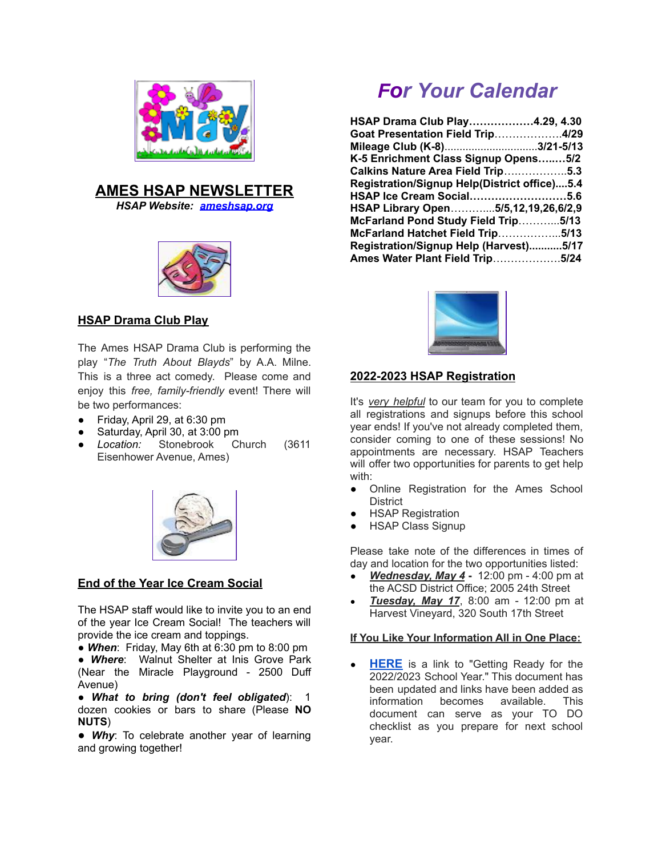

# **AMES HSAP NEWSLETTER**

*HSAP Website: [ameshsap.org](http://ameshsap.org)*



# **HSAP Drama Club Play**

The Ames HSAP Drama Club is performing the play "*The Truth About Blayds*" by A.A. Milne. This is a three act comedy. Please come and enjoy this *free, family-friendly* event! There will be two performances:

- Friday, April 29, at 6:30 pm
- Saturday, April 30, at 3:00 pm
- *Location:* Stonebrook Church (3611 Eisenhower Avenue, Ames)



# **End of the Year Ice Cream Social**

The HSAP staff would like to invite you to an end of the year Ice Cream Social! The teachers will provide the ice cream and toppings.

● *When*: Friday, May 6th at 6:30 pm to 8:00 pm

● *Where*: Walnut Shelter at Inis Grove Park (Near the Miracle Playground - 2500 Duff Avenue)

● *What to bring (don't feel obligated*): 1 dozen cookies or bars to share (Please **NO NUTS**)

● *Why*: To celebrate another year of learning and growing together!

# *For Your Calendar*

| HSAP Drama Club Play4.29, 4.30               |
|----------------------------------------------|
| Goat Presentation Field Trip4/29             |
| Mileage Club (K-8)3/21-5/13                  |
| K-5 Enrichment Class Signup Opens5/2         |
| Calkins Nature Area Field Trip5.3            |
| Registration/Signup Help(District office)5.4 |
| HSAP Ice Cream Social5.6                     |
| HSAP Library Open5/5,12,19,26,6/2,9          |
| McFarland Pond Study Field Trip5/13          |
| McFarland Hatchet Field Trip5/13             |
| Registration/Signup Help (Harvest)5/17       |
| Ames Water Plant Field Trip5/24              |



# **2022-2023 HSAP Registration**

It's *very helpful* to our team for you to complete all registrations and signups before this school year ends! If you've not already completed them, consider coming to one of these sessions! No appointments are necessary. HSAP Teachers will offer two opportunities for parents to get help with:

- Online Registration for the Ames School **District**
- **HSAP Registration**
- **HSAP Class Signup**

Please take note of the differences in times of day and location for the two opportunities listed:

- *Wednesday, May 4* **-** 12:00 pm 4:00 pm at the ACSD District Office; 2005 24th Street
- *Tuesday, May 17*, 8:00 am 12:00 pm at Harvest Vineyard, 320 South 17th Street

#### **If You Like Your Information All in One Place:**

**[HERE](https://docs.google.com/document/d/1cbuEBF8ElD-VbD6RVrq8Iab8Bd9jxLC-SQ_sof_RVbc/edit?usp=sharing)** is a link to "Getting Ready for the 2022/2023 School Year." This document has been updated and links have been added as information becomes available. This document can serve as your TO DO checklist as you prepare for next school year.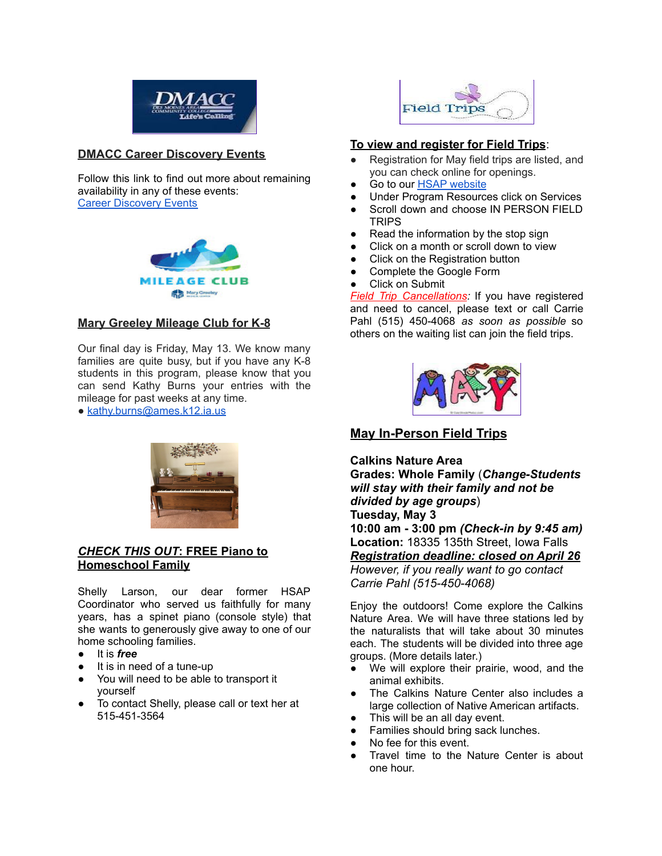

# **DMACC Career Discovery Events**

Follow this link to find out more about remaining availability in any of these events: Career [Discovery](https://www.dmacc.edu/workbasedlearning/careerdiscovery/Pages/careerdiscovery.aspx) Events



#### **Mary Greeley Mileage Club for K-8**

Our final day is Friday, May 13. We know many families are quite busy, but if you have any K-8 students in this program, please know that you can send Kathy Burns your entries with the mileage for past weeks at any time.

● [kathy.burns@ames.k12.ia.us](mailto:kathy.burns@ames.k12.ia.us)



# *CHECK THIS OUT***: FREE Piano to Homeschool Family**

Shelly Larson, our dear former HSAP Coordinator who served us faithfully for many years, has a spinet piano (console style) that she wants to generously give away to one of our home schooling families.

- It is *free*
- It is in need of a tune-up
- You will need to be able to transport it yourself
- To contact Shelly, please call or text her at 515-451-3564



#### **To view and register for Field Trips**:

- Registration for May field trips are listed, and you can check online for openings.
- Go to our **HSAP** [website](http://ameshsap.org/)
- Under Program Resources click on Services
- Scroll down and choose IN PERSON FIELD **TRIPS**
- Read the information by the stop sign
- Click on a month or scroll down to view
- Click on the Registration button
- Complete the Google Form

#### **Click on Submit**

*Field Trip Cancellations:* If you have registered and need to cancel, please text or call Carrie Pahl (515) 450-4068 *as soon as possible* so others on the waiting list can join the field trips.



# **May In-Person Field Trips**

**Calkins Nature Area**

**Grades: Whole Family** (*Change-Students will stay with their family and not be divided by age groups*) **Tuesday, May 3**

**10:00 am - 3:00 pm** *(Check-in by 9:45 am)* **Location:** 18335 135th Street, Iowa Falls *Registration deadline: closed on April 26 However, if you really want to go contact Carrie Pahl (515-450-4068)*

Enjoy the outdoors! Come explore the Calkins Nature Area. We will have three stations led by the naturalists that will take about 30 minutes each. The students will be divided into three age groups. (More details later.)

- We will explore their prairie, wood, and the animal exhibits.
- The Calkins Nature Center also includes a large collection of Native American artifacts.
- This will be an all day event.
- Families should bring sack lunches.
- No fee for this event.
- Travel time to the Nature Center is about one hour.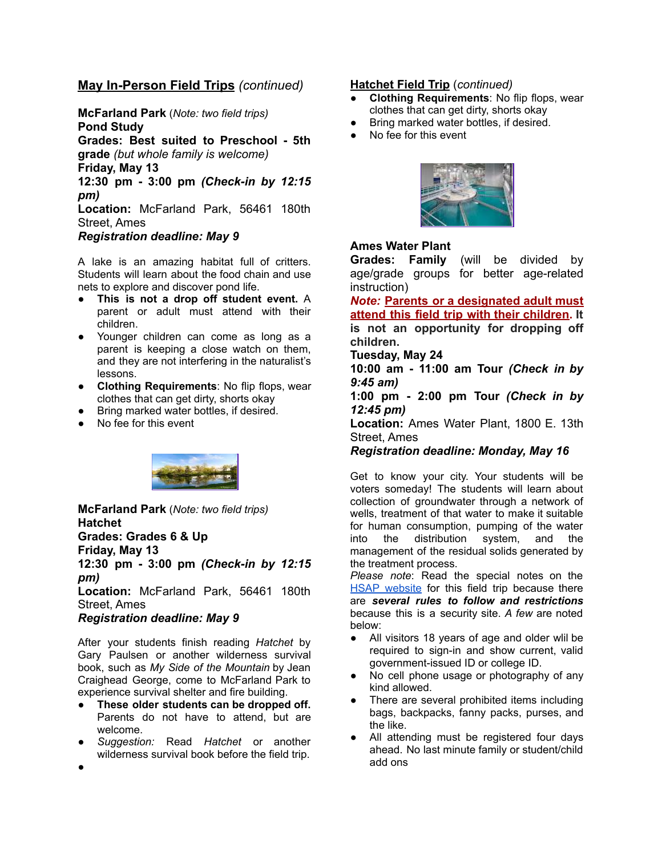# **May In-Person Field Trips** *(continued)*

**McFarland Park** (*Note: two field trips)* **Pond Study Grades: Best suited to Preschool - 5th**

**grade** *(but whole family is welcome)*

**Friday, May 13**

**12:30 pm - 3:00 pm** *(Check-in by 12:15 pm)*

**Location:** McFarland Park, 56461 180th Street, Ames

#### *Registration deadline: May 9*

A lake is an amazing habitat full of critters. Students will learn about the food chain and use nets to explore and discover pond life.

- **This is not a drop off student event.** A parent or adult must attend with their children.
- Younger children can come as long as a parent is keeping a close watch on them, and they are not interfering in the naturalist's lessons.
- **Clothing Requirements**: No flip flops, wear clothes that can get dirty, shorts okay
- Bring marked water bottles, if desired.
- No fee for this event



**McFarland Park** (*Note: two field trips)* **Hatchet Grades: Grades 6 & Up Friday, May 13 12:30 pm - 3:00 pm** *(Check-in by 12:15 pm)*

**Location:** McFarland Park, 56461 180th Street, Ames

# *Registration deadline: May 9*

After your students finish reading *Hatchet* by Gary Paulsen or another wilderness survival book, such as *My Side of the Mountain* by Jean Craighead George, come to McFarland Park to experience survival shelter and fire building.

- **● These older students can be dropped off.** Parents do not have to attend, but are welcome.
- *Suggestion:* Read *Hatchet* or another wilderness survival book before the field trip.

#### **Hatchet Field Trip** (*continued)*

- **Clothing Requirements: No flip flops, wear** clothes that can get dirty, shorts okay
- Bring marked water bottles, if desired.
- No fee for this event



# **Ames Water Plant**

**Grades: Family** (will be divided by age/grade groups for better age-related instruction)

*Note:* **Parents or a designated adult must attend this field trip with their children. It is not an opportunity for dropping off children.**

#### **Tuesday, May 24**

**10:00 am - 11:00 am Tour** *(Check in by 9:45 am)*

**1:00 pm - 2:00 pm Tour** *(Check in by 12:45 pm)*

**Location:** Ames Water Plant, 1800 E. 13th Street, Ames

*Registration deadline: Monday, May 16*

Get to know your city. Your students will be voters someday! The students will learn about collection of groundwater through a network of wells, treatment of that water to make it suitable for human consumption, pumping of the water into the distribution system, and the management of the residual solids generated by the treatment process.

*Please note*: Read the special notes on the HSAP [website](http://ameshsap.org/) for this field trip because there are *several rules to follow and restrictions* because this is a security site. *A few* are noted below:

- All visitors 18 years of age and older will be required to sign-in and show current, valid government-issued ID or college ID.
- No cell phone usage or photography of any kind allowed.
- There are several prohibited items including bags, backpacks, fanny packs, purses, and the like.
- All attending must be registered four days ahead. No last minute family or student/child add ons

●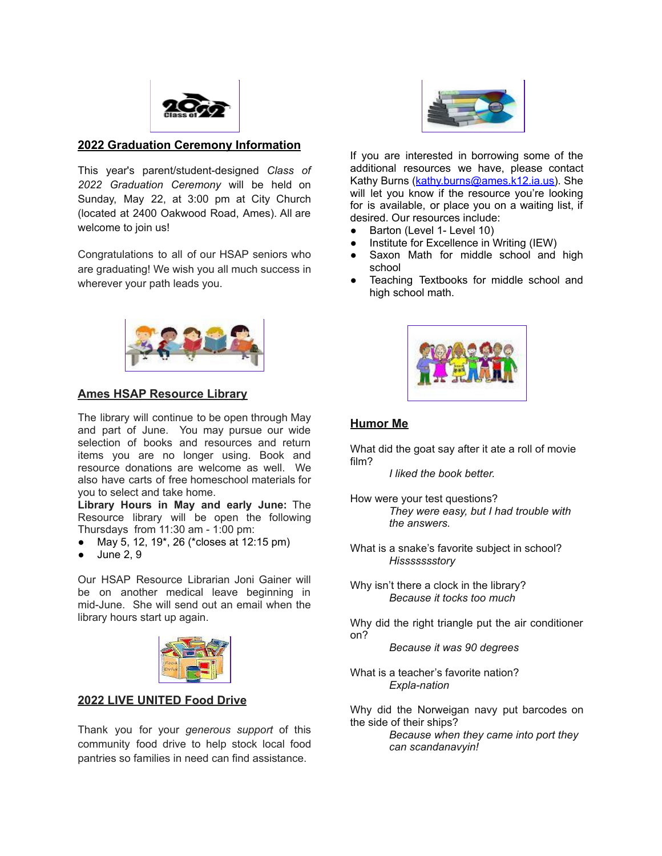

# **2022 Graduation Ceremony Information**

This year's parent/student-designed *Class of 2022 Graduation Ceremony* will be held on Sunday, May 22, at 3:00 pm at City Church (located at 2400 Oakwood Road, Ames). All are welcome to join us!

Congratulations to all of our HSAP seniors who are graduating! We wish you all much success in wherever your path leads you.



#### **Ames HSAP Resource Library**

The library will continue to be open through May and part of June. You may pursue our wide selection of books and resources and return items you are no longer using. Book and resource donations are welcome as well. We also have carts of free homeschool materials for you to select and take home.

**Library Hours in May and early June:** The Resource library will be open the following Thursdays from 11:30 am - 1:00 pm:

- May 5, 12, 19<sup>\*</sup>, 26 (\*closes at 12:15 pm)
- June 2, 9

Our HSAP Resource Librarian Joni Gainer will be on another medical leave beginning in mid-June. She will send out an email when the library hours start up again.



#### **2022 LIVE UNITED Food Drive**

Thank you for your *generous support* of this community food drive to help stock local food pantries so families in need can find assistance.



If you are interested in borrowing some of the additional resources we have, please contact Kathy Burns ([kathy.burns@ames.k12.ia.us\)](mailto:kathy.burns@ames.k12.ia.us). She will let you know if the resource you're looking for is available, or place you on a waiting list, if desired. Our resources include:

- Barton (Level 1- Level 10)
- Institute for Excellence in Writing (IEW)
- Saxon Math for middle school and high school
- Teaching Textbooks for middle school and high school math.



# **Humor Me**

What did the goat say after it ate a roll of movie film?

*I liked the book better.*

- How were your test questions? *They were easy, but I had trouble with the answers.*
- What is a snake's favorite subject in school? *Hissssssstory*

Why isn't there a clock in the library? *Because it tocks too much*

Why did the right triangle put the air conditioner on?

*Because it was 90 degrees*

What is a teacher's favorite nation? *Expla-nation*

Why did the Norweigan navy put barcodes on the side of their ships?

> *Because when they came into port they can scandanavyin!*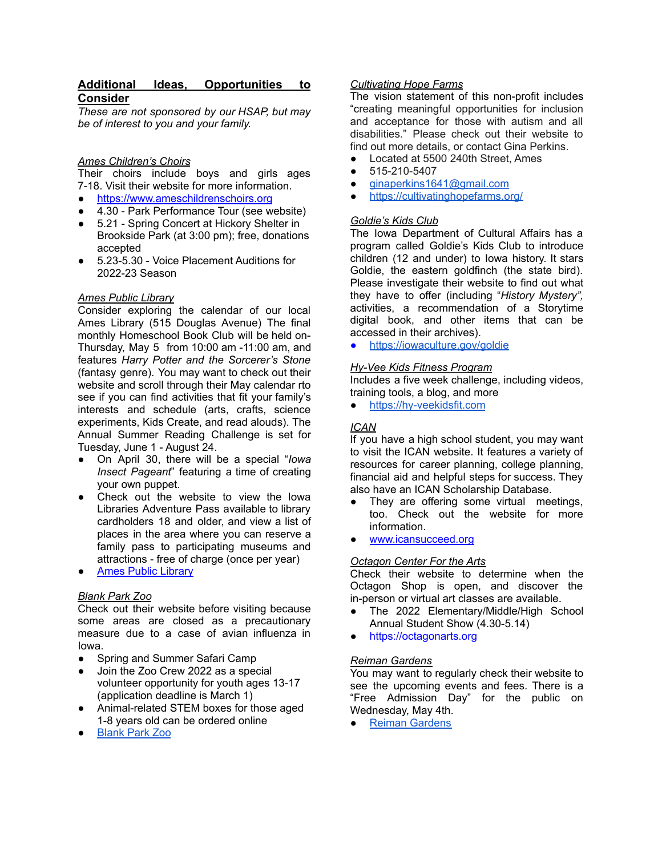# **Additional Ideas, Opportunities to Consider**

*These are not sponsored by our HSAP, but may be of interest to you and your family.*

# *Ames Children's Choirs*

Their choirs include boys and girls ages 7-18. Visit their website for more information.

- <https://www.ameschildrenschoirs.org>
- 4.30 Park Performance Tour (see website)
- 5.21 Spring Concert at Hickory Shelter in Brookside Park (at 3:00 pm); free, donations accepted
- 5.23-5.30 Voice Placement Auditions for 2022-23 Season

# *Ames Public Library*

Consider exploring the calendar of our local Ames Library (515 Douglas Avenue) The final monthly Homeschool Book Club will be held on-Thursday, May 5 from 10:00 am -11:00 am, and features *Harry Potter and the Sorcerer's Stone* (fantasy genre). You may want to check out their website and scroll through their May calendar rto see if you can find activities that fit your family's interests and schedule (arts, crafts, science experiments, Kids Create, and read alouds). The Annual Summer Reading Challenge is set for Tuesday, June 1 - August 24.

- On April 30, there will be a special "*Iowa Insect Pageant*" featuring a time of creating your own puppet.
- Check out the website to view the Iowa Libraries Adventure Pass available to library cardholders 18 and older, and view a list of places in the area where you can reserve a family pass to participating museums and attractions - free of charge (once per year)
- **Ames Public [Library](https://www.amespubliclibrary.org/)**

#### *Blank Park Zoo*

Check out their website before visiting because some areas are closed as a precautionary measure due to a case of avian influenza in Iowa.

- Spring and Summer Safari Camp
- Join the Zoo Crew 2022 as a special volunteer opportunity for youth ages 13-17 (application deadline is March 1)
- Animal-related STEM boxes for those aged 1-8 years old can be ordered online
- **[Blank](https://www.blankparkzoo.com/) Park Zoo**

#### *Cultivating Hope Farms*

The vision statement of this non-profit includes "creating meaningful opportunities for inclusion and acceptance for those with autism and all disabilities." Please check out their website to find out more details, or contact Gina Perkins.

- Located at 5500 240th Street, Ames
- 515-210-5407
- [ginaperkins1641@gmail.com](mailto:ginaperkins1641@gmail.com)
- <https://cultivatinghopefarms.org/>

#### *Goldie's Kids Club*

The Iowa Department of Cultural Affairs has a program called Goldie's Kids Club to introduce children (12 and under) to Iowa history. It stars Goldie, the eastern goldfinch (the state bird). Please investigate their website to find out what they have to offer (including "*History Mystery",* activities, a recommendation of a Storytime digital book, and other items that can be accessed in their archives).

● <https://iowaculture.gov/goldie>

#### *Hy-Vee Kids Fitness Program*

Includes a five week challenge, including videos, training tools, a blog, and more

● <https://hy-veekidsfit.com>

# *ICAN*

If you have a high school student, you may want to visit the ICAN website. It features a variety of resources for career planning, college planning, financial aid and helpful steps for success. They also have an ICAN Scholarship Database.

- They are offering some virtual meetings, too. Check out the website for more information.
- [www.icansucceed.org](http://www.icansucceed.org)

# *Octagon Center For the Arts*

Check their website to determine when the Octagon Shop is open, and discover the in-person or virtual art classes are available.

- The 2022 Elementary/Middle/High School Annual Student Show (4.30-5.14)
- <https://octagonarts.org>

#### *Reiman Gardens*

You may want to regularly check their website to see the upcoming events and fees. There is a "Free Admission Day" for the public on Wednesday, May 4th.

● Reiman [Gardens](https://www.reimangardens.com)